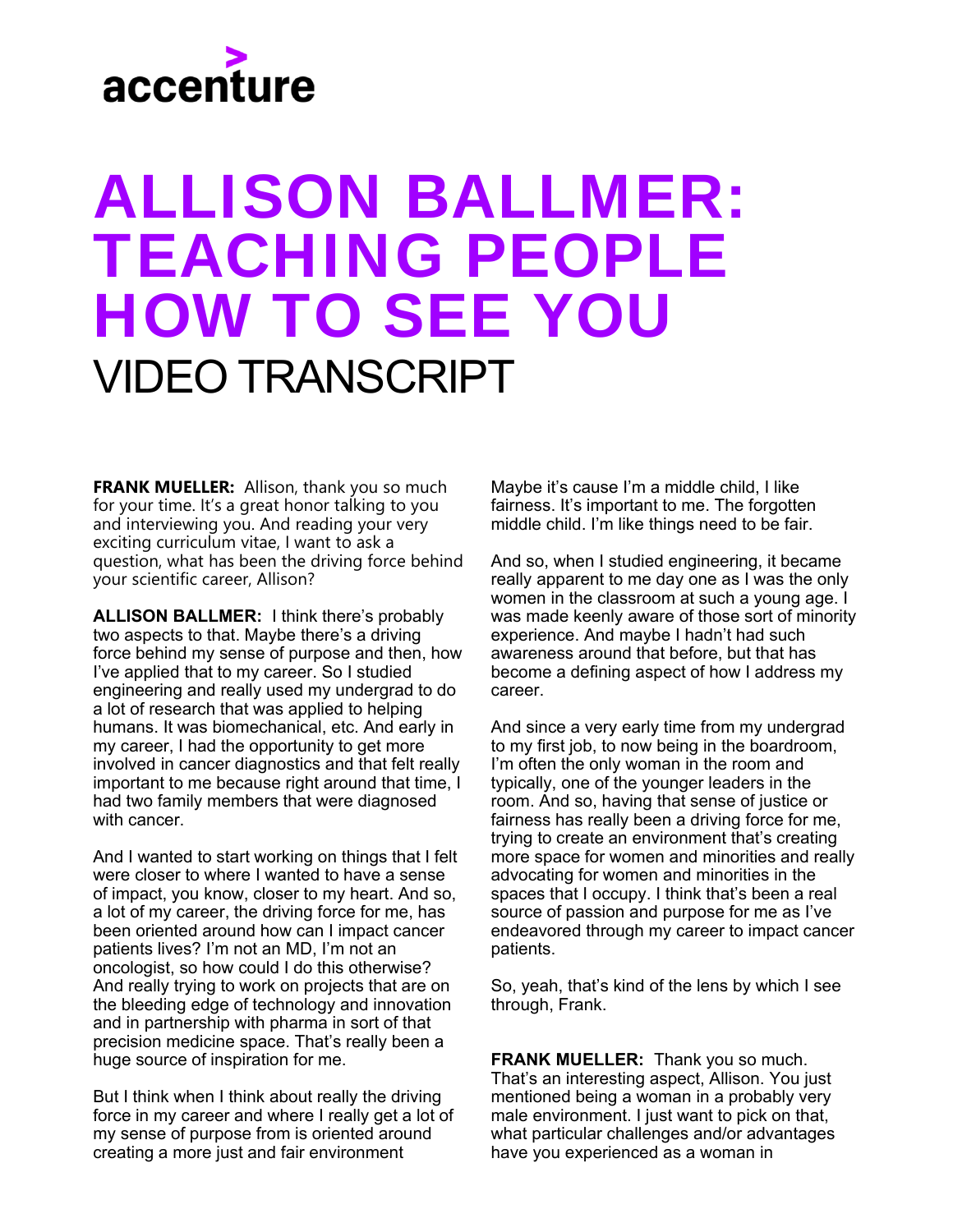### ALLISON BALLMER: TEACHING PEOPLE HOW TO SEE YOU VIDEO TRANSCRIPT

**FRANK MUELLER:** Allison, thank you so much for your time. It's a great honor talking to you and interviewing you. And reading your very exciting curriculum vitae, I want to ask a question, what has been the driving force behind your scientific career, Allison?

**ALLISON BALLMER:** I think there's probably two aspects to that. Maybe there's a driving force behind my sense of purpose and then, how I've applied that to my career. So I studied engineering and really used my undergrad to do a lot of research that was applied to helping humans. It was biomechanical, etc. And early in my career, I had the opportunity to get more involved in cancer diagnostics and that felt really important to me because right around that time, I had two family members that were diagnosed with cancer.

And I wanted to start working on things that I felt were closer to where I wanted to have a sense of impact, you know, closer to my heart. And so, a lot of my career, the driving force for me, has been oriented around how can I impact cancer patients lives? I'm not an MD, I'm not an oncologist, so how could I do this otherwise? And really trying to work on projects that are on the bleeding edge of technology and innovation and in partnership with pharma in sort of that precision medicine space. That's really been a huge source of inspiration for me.

But I think when I think about really the driving force in my career and where I really get a lot of my sense of purpose from is oriented around creating a more just and fair environment

Maybe it's cause I'm a middle child, I like fairness. It's important to me. The forgotten middle child. I'm like things need to be fair.

And so, when I studied engineering, it became really apparent to me day one as I was the only women in the classroom at such a young age. I was made keenly aware of those sort of minority experience. And maybe I hadn't had such awareness around that before, but that has become a defining aspect of how I address my career.

And since a very early time from my undergrad to my first job, to now being in the boardroom, I'm often the only woman in the room and typically, one of the younger leaders in the room. And so, having that sense of justice or fairness has really been a driving force for me, trying to create an environment that's creating more space for women and minorities and really advocating for women and minorities in the spaces that I occupy. I think that's been a real source of passion and purpose for me as I've endeavored through my career to impact cancer patients.

So, yeah, that's kind of the lens by which I see through, Frank.

**FRANK MUELLER:** Thank you so much. That's an interesting aspect, Allison. You just mentioned being a woman in a probably very male environment. I just want to pick on that, what particular challenges and/or advantages have you experienced as a woman in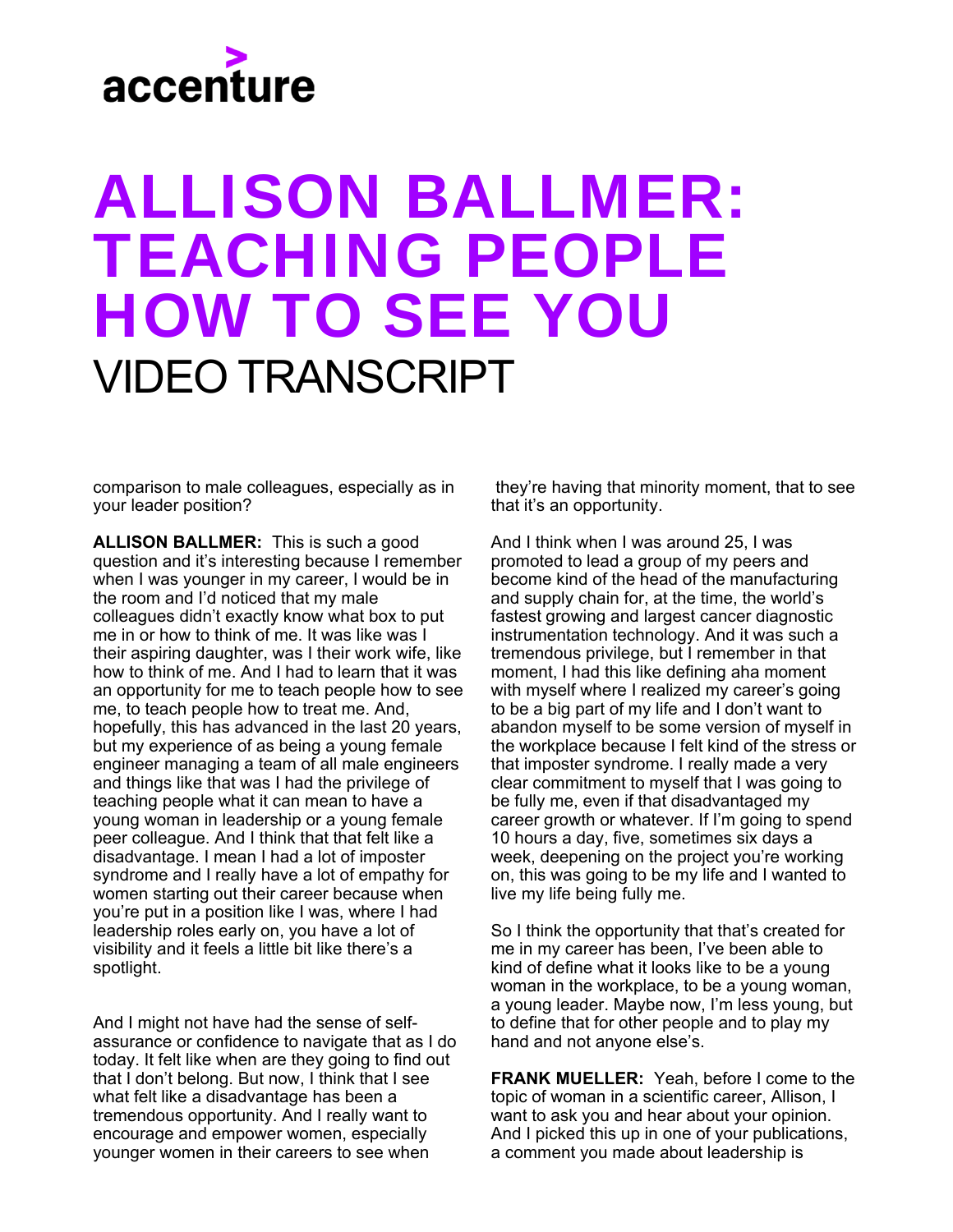### ALLISON BALLMER: TEACHING PEOPLE HOW TO SEE YOU VIDEO TRANSCRIPT

comparison to male colleagues, especially as in your leader position?

**ALLISON BALLMER:** This is such a good question and it's interesting because I remember when I was younger in my career, I would be in the room and I'd noticed that my male colleagues didn't exactly know what box to put me in or how to think of me. It was like was I their aspiring daughter, was I their work wife, like how to think of me. And I had to learn that it was an opportunity for me to teach people how to see me, to teach people how to treat me. And, hopefully, this has advanced in the last 20 years, but my experience of as being a young female engineer managing a team of all male engineers and things like that was I had the privilege of teaching people what it can mean to have a young woman in leadership or a young female peer colleague. And I think that that felt like a disadvantage. I mean I had a lot of imposter syndrome and I really have a lot of empathy for women starting out their career because when you're put in a position like I was, where I had leadership roles early on, you have a lot of visibility and it feels a little bit like there's a spotlight.

And I might not have had the sense of selfassurance or confidence to navigate that as I do today. It felt like when are they going to find out that I don't belong. But now, I think that I see what felt like a disadvantage has been a tremendous opportunity. And I really want to encourage and empower women, especially younger women in their careers to see when

they're having that minority moment, that to see that it's an opportunity.

And I think when I was around 25, I was promoted to lead a group of my peers and become kind of the head of the manufacturing and supply chain for, at the time, the world's fastest growing and largest cancer diagnostic instrumentation technology. And it was such a tremendous privilege, but I remember in that moment, I had this like defining aha moment with myself where I realized my career's going to be a big part of my life and I don't want to abandon myself to be some version of myself in the workplace because I felt kind of the stress or that imposter syndrome. I really made a very clear commitment to myself that I was going to be fully me, even if that disadvantaged my career growth or whatever. If I'm going to spend 10 hours a day, five, sometimes six days a week, deepening on the project you're working on, this was going to be my life and I wanted to live my life being fully me.

So I think the opportunity that that's created for me in my career has been, I've been able to kind of define what it looks like to be a young woman in the workplace, to be a young woman, a young leader. Maybe now, I'm less young, but to define that for other people and to play my hand and not anyone else's.

**FRANK MUELLER:** Yeah, before I come to the topic of woman in a scientific career, Allison, I want to ask you and hear about your opinion. And I picked this up in one of your publications, a comment you made about leadership is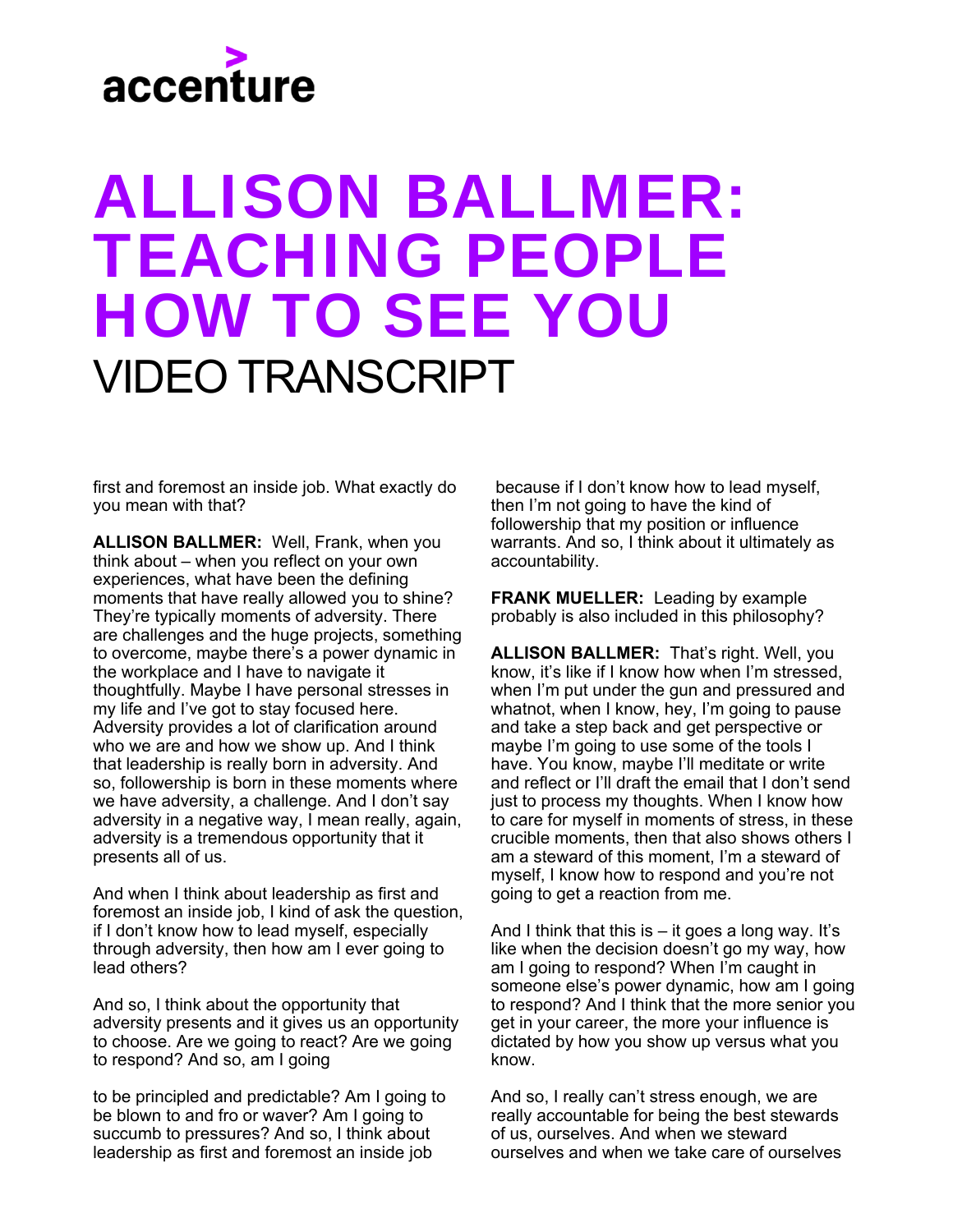### ALLISON BALLMER: TEACHING PEOPLE HOW TO SEE YOU VIDEO TRANSCRIPT

first and foremost an inside job. What exactly do you mean with that?

**ALLISON BALLMER:** Well, Frank, when you think about – when you reflect on your own experiences, what have been the defining moments that have really allowed you to shine? They're typically moments of adversity. There are challenges and the huge projects, something to overcome, maybe there's a power dynamic in the workplace and I have to navigate it thoughtfully. Maybe I have personal stresses in my life and I've got to stay focused here. Adversity provides a lot of clarification around who we are and how we show up. And I think that leadership is really born in adversity. And so, followership is born in these moments where we have adversity, a challenge. And I don't say adversity in a negative way, I mean really, again, adversity is a tremendous opportunity that it presents all of us.

And when I think about leadership as first and foremost an inside job, I kind of ask the question, if I don't know how to lead myself, especially through adversity, then how am I ever going to lead others?

And so, I think about the opportunity that adversity presents and it gives us an opportunity to choose. Are we going to react? Are we going to respond? And so, am I going

to be principled and predictable? Am I going to be blown to and fro or waver? Am I going to succumb to pressures? And so, I think about leadership as first and foremost an inside job

because if I don't know how to lead myself, then I'm not going to have the kind of followership that my position or influence warrants. And so, I think about it ultimately as accountability.

**FRANK MUELLER:** Leading by example probably is also included in this philosophy?

**ALLISON BALLMER:** That's right. Well, you know, it's like if I know how when I'm stressed, when I'm put under the gun and pressured and whatnot, when I know, hey, I'm going to pause and take a step back and get perspective or maybe I'm going to use some of the tools I have. You know, maybe I'll meditate or write and reflect or I'll draft the email that I don't send just to process my thoughts. When I know how to care for myself in moments of stress, in these crucible moments, then that also shows others I am a steward of this moment, I'm a steward of myself, I know how to respond and you're not going to get a reaction from me.

And I think that this is  $-$  it goes a long way. It's like when the decision doesn't go my way, how am I going to respond? When I'm caught in someone else's power dynamic, how am I going to respond? And I think that the more senior you get in your career, the more your influence is dictated by how you show up versus what you know.

And so, I really can't stress enough, we are really accountable for being the best stewards of us, ourselves. And when we steward ourselves and when we take care of ourselves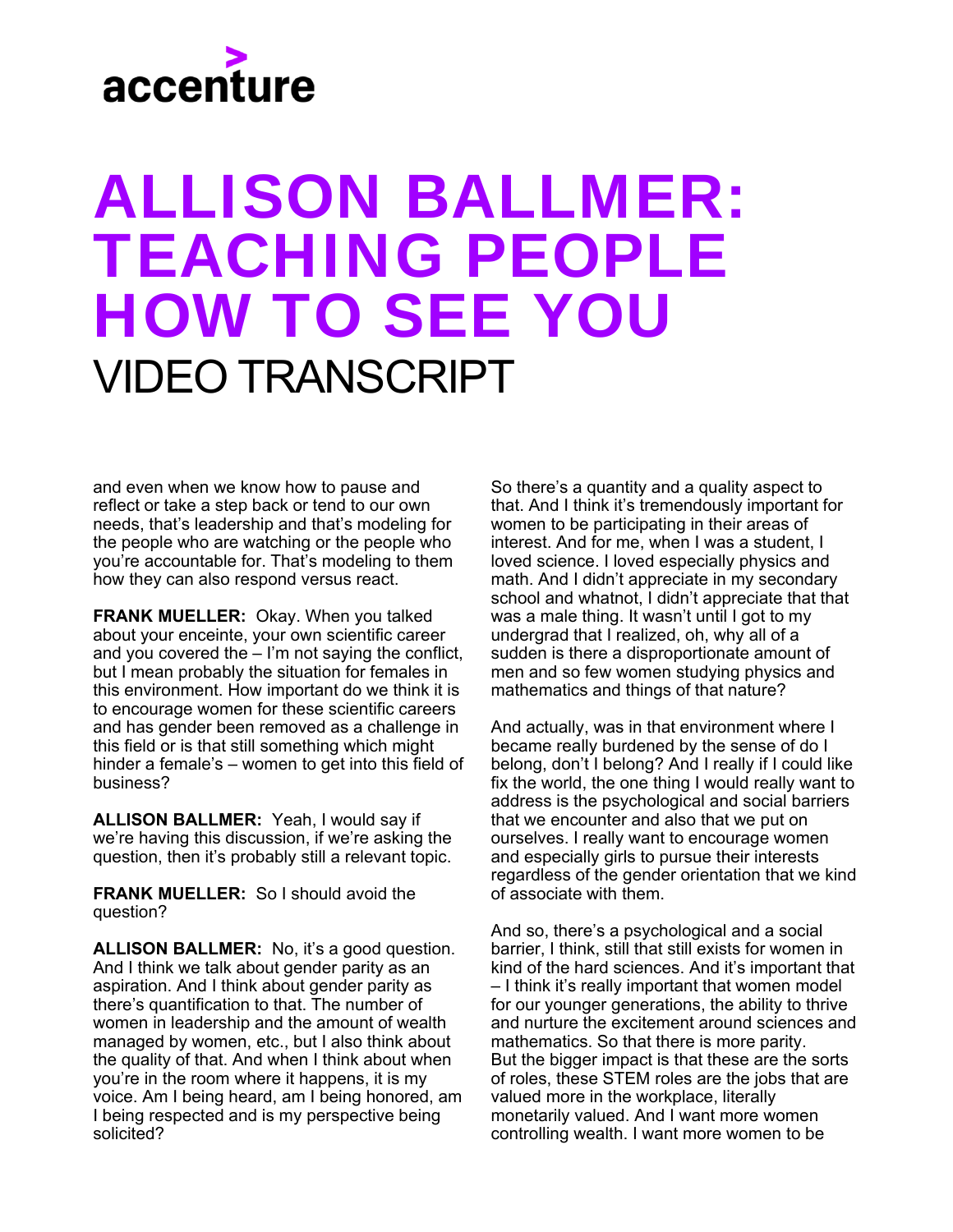### ALLISON BALLMER: TEACHING PEOPLE HOW TO SEE YOU VIDEO TRANSCRIPT

and even when we know how to pause and reflect or take a step back or tend to our own needs, that's leadership and that's modeling for the people who are watching or the people who you're accountable for. That's modeling to them how they can also respond versus react.

**FRANK MUELLER:** Okay. When you talked about your enceinte, your own scientific career and you covered the – I'm not saying the conflict, but I mean probably the situation for females in this environment. How important do we think it is to encourage women for these scientific careers and has gender been removed as a challenge in this field or is that still something which might hinder a female's – women to get into this field of business?

**ALLISON BALLMER:** Yeah, I would say if we're having this discussion, if we're asking the question, then it's probably still a relevant topic.

**FRANK MUELLER:** So I should avoid the question?

**ALLISON BALLMER:** No, it's a good question. And I think we talk about gender parity as an aspiration. And I think about gender parity as there's quantification to that. The number of women in leadership and the amount of wealth managed by women, etc., but I also think about the quality of that. And when I think about when you're in the room where it happens, it is my voice. Am I being heard, am I being honored, am I being respected and is my perspective being solicited?

So there's a quantity and a quality aspect to that. And I think it's tremendously important for women to be participating in their areas of interest. And for me, when I was a student, I loved science. I loved especially physics and math. And I didn't appreciate in my secondary school and whatnot, I didn't appreciate that that was a male thing. It wasn't until I got to my undergrad that I realized, oh, why all of a sudden is there a disproportionate amount of men and so few women studying physics and mathematics and things of that nature?

And actually, was in that environment where I became really burdened by the sense of do I belong, don't I belong? And I really if I could like fix the world, the one thing I would really want to address is the psychological and social barriers that we encounter and also that we put on ourselves. I really want to encourage women and especially girls to pursue their interests regardless of the gender orientation that we kind of associate with them.

And so, there's a psychological and a social barrier, I think, still that still exists for women in kind of the hard sciences. And it's important that – I think it's really important that women model for our younger generations, the ability to thrive and nurture the excitement around sciences and mathematics. So that there is more parity. But the bigger impact is that these are the sorts of roles, these STEM roles are the jobs that are valued more in the workplace, literally monetarily valued. And I want more women controlling wealth. I want more women to be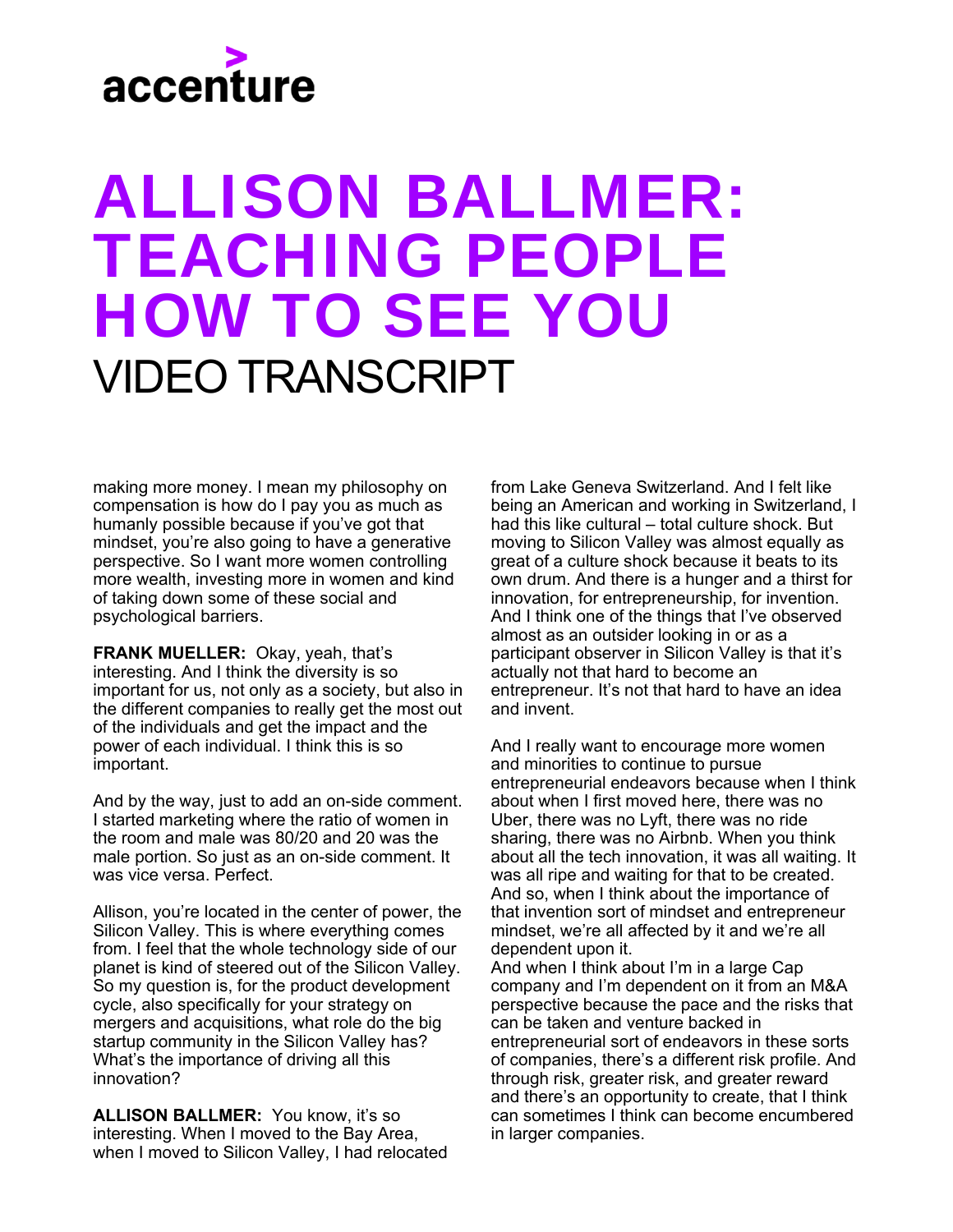### ALLISON BALLMER: TEACHING PEOPLE HOW TO SEE YOU VIDEO TRANSCRIPT

making more money. I mean my philosophy on compensation is how do I pay you as much as humanly possible because if you've got that mindset, you're also going to have a generative perspective. So I want more women controlling more wealth, investing more in women and kind of taking down some of these social and psychological barriers.

**FRANK MUELLER:** Okay, yeah, that's interesting. And I think the diversity is so important for us, not only as a society, but also in the different companies to really get the most out of the individuals and get the impact and the power of each individual. I think this is so important.

And by the way, just to add an on-side comment. I started marketing where the ratio of women in the room and male was 80/20 and 20 was the male portion. So just as an on-side comment. It was vice versa. Perfect.

Allison, you're located in the center of power, the Silicon Valley. This is where everything comes from. I feel that the whole technology side of our planet is kind of steered out of the Silicon Valley. So my question is, for the product development cycle, also specifically for your strategy on mergers and acquisitions, what role do the big startup community in the Silicon Valley has? What's the importance of driving all this innovation?

**ALLISON BALLMER:** You know, it's so interesting. When I moved to the Bay Area, when I moved to Silicon Valley, I had relocated from Lake Geneva Switzerland. And I felt like being an American and working in Switzerland, I had this like cultural – total culture shock. But moving to Silicon Valley was almost equally as great of a culture shock because it beats to its own drum. And there is a hunger and a thirst for innovation, for entrepreneurship, for invention. And I think one of the things that I've observed almost as an outsider looking in or as a participant observer in Silicon Valley is that it's actually not that hard to become an entrepreneur. It's not that hard to have an idea and invent.

And I really want to encourage more women and minorities to continue to pursue entrepreneurial endeavors because when I think about when I first moved here, there was no Uber, there was no Lyft, there was no ride sharing, there was no Airbnb. When you think about all the tech innovation, it was all waiting. It was all ripe and waiting for that to be created. And so, when I think about the importance of that invention sort of mindset and entrepreneur mindset, we're all affected by it and we're all dependent upon it.

And when I think about I'm in a large Cap company and I'm dependent on it from an M&A perspective because the pace and the risks that can be taken and venture backed in entrepreneurial sort of endeavors in these sorts of companies, there's a different risk profile. And through risk, greater risk, and greater reward and there's an opportunity to create, that I think can sometimes I think can become encumbered in larger companies.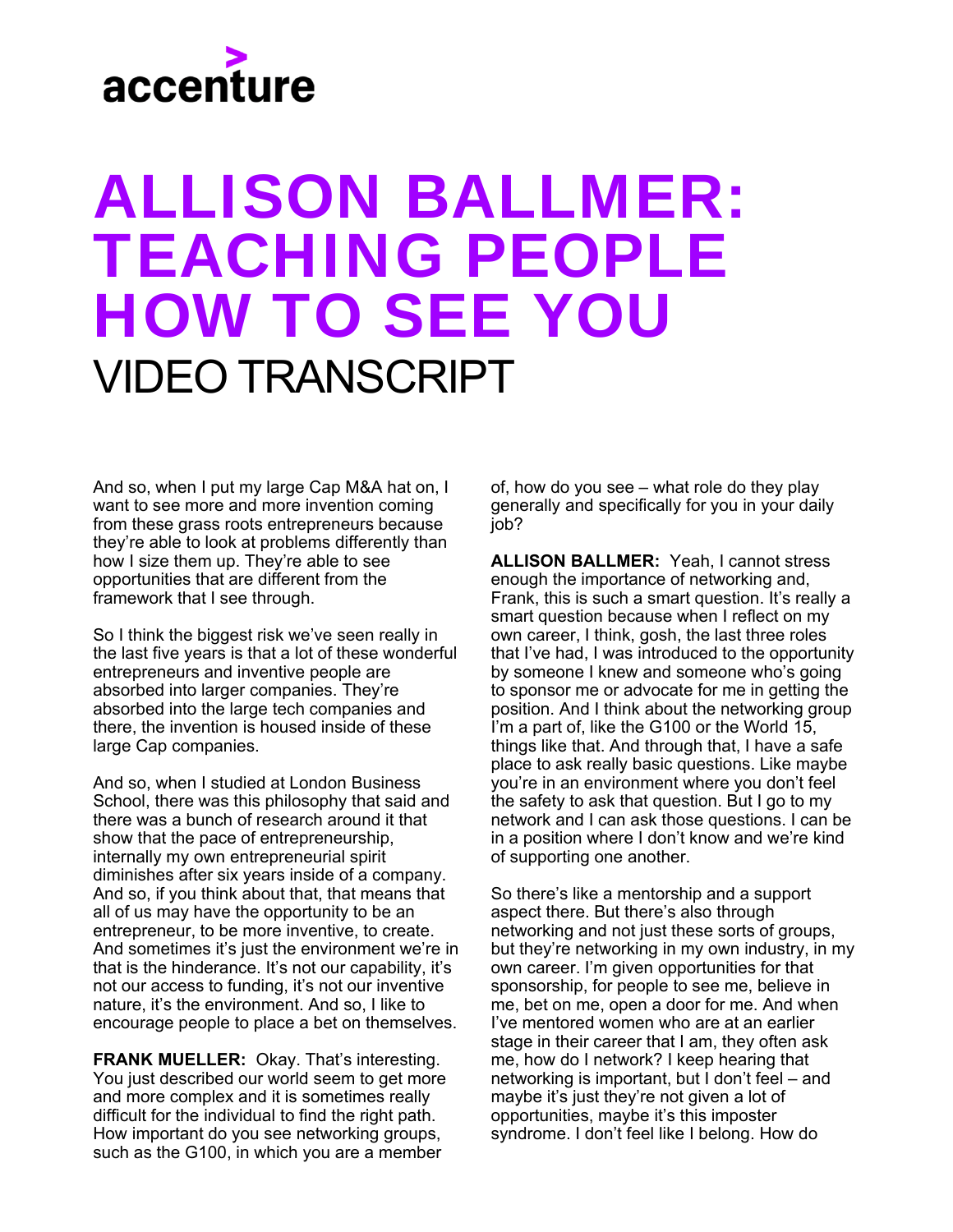### ALLISON BALLMER: TEACHING PEOPLE HOW TO SEE YOU VIDEO TRANSCRIPT

And so, when I put my large Cap M&A hat on, I want to see more and more invention coming from these grass roots entrepreneurs because they're able to look at problems differently than how I size them up. They're able to see opportunities that are different from the framework that I see through.

So I think the biggest risk we've seen really in the last five years is that a lot of these wonderful entrepreneurs and inventive people are absorbed into larger companies. They're absorbed into the large tech companies and there, the invention is housed inside of these large Cap companies.

And so, when I studied at London Business School, there was this philosophy that said and there was a bunch of research around it that show that the pace of entrepreneurship, internally my own entrepreneurial spirit diminishes after six years inside of a company. And so, if you think about that, that means that all of us may have the opportunity to be an entrepreneur, to be more inventive, to create. And sometimes it's just the environment we're in that is the hinderance. It's not our capability, it's not our access to funding, it's not our inventive nature, it's the environment. And so, I like to encourage people to place a bet on themselves.

**FRANK MUELLER:** Okay. That's interesting. You just described our world seem to get more and more complex and it is sometimes really difficult for the individual to find the right path. How important do you see networking groups, such as the G100, in which you are a member

of, how do you see – what role do they play generally and specifically for you in your daily job?

**ALLISON BALLMER:** Yeah, I cannot stress enough the importance of networking and, Frank, this is such a smart question. It's really a smart question because when I reflect on my own career, I think, gosh, the last three roles that I've had, I was introduced to the opportunity by someone I knew and someone who's going to sponsor me or advocate for me in getting the position. And I think about the networking group I'm a part of, like the G100 or the World 15, things like that. And through that, I have a safe place to ask really basic questions. Like maybe you're in an environment where you don't feel the safety to ask that question. But I go to my network and I can ask those questions. I can be in a position where I don't know and we're kind of supporting one another.

So there's like a mentorship and a support aspect there. But there's also through networking and not just these sorts of groups, but they're networking in my own industry, in my own career. I'm given opportunities for that sponsorship, for people to see me, believe in me, bet on me, open a door for me. And when I've mentored women who are at an earlier stage in their career that I am, they often ask me, how do I network? I keep hearing that networking is important, but I don't feel – and maybe it's just they're not given a lot of opportunities, maybe it's this imposter syndrome. I don't feel like I belong. How do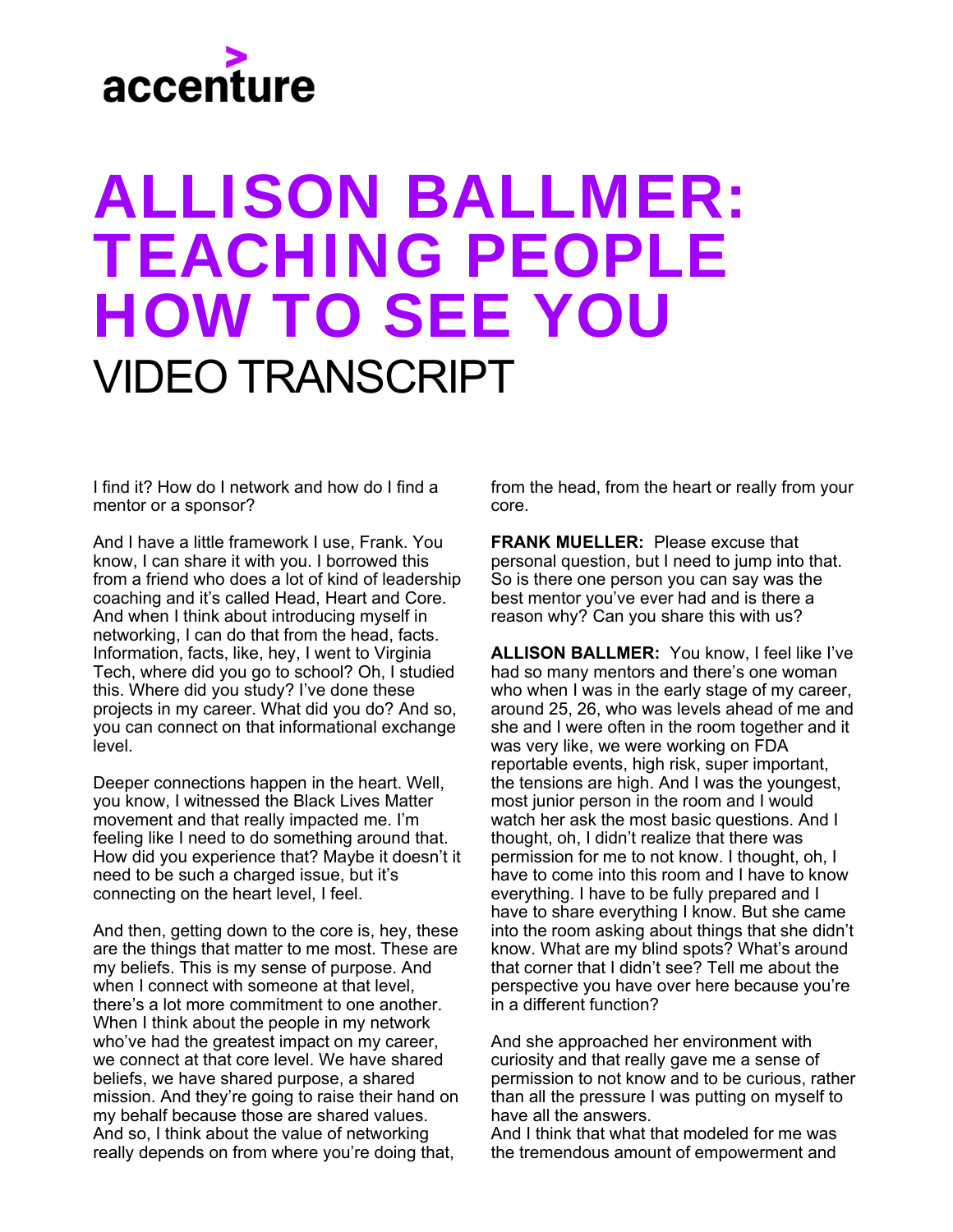### ALLISON BALLMER: TEACHING PEOPLE HOW TO SEE YOU VIDEO TRANSCRIPT

I find it? How do I network and how do I find a mentor or a sponsor?

And I have a little framework I use, Frank. You know, I can share it with you. I borrowed this from a friend who does a lot of kind of leadership coaching and it's called Head, Heart and Core. And when I think about introducing myself in networking, I can do that from the head, facts. Information, facts, like, hey, I went to Virginia Tech, where did you go to school? Oh, I studied this. Where did you study? I've done these projects in my career. What did you do? And so, you can connect on that informational exchange level.

Deeper connections happen in the heart. Well, you know, I witnessed the Black Lives Matter movement and that really impacted me. I'm feeling like I need to do something around that. How did you experience that? Maybe it doesn't it need to be such a charged issue, but it's connecting on the heart level, I feel.

And then, getting down to the core is, hey, these are the things that matter to me most. These are my beliefs. This is my sense of purpose. And when I connect with someone at that level. there's a lot more commitment to one another. When I think about the people in my network who've had the greatest impact on my career, we connect at that core level. We have shared beliefs, we have shared purpose, a shared mission. And they're going to raise their hand on my behalf because those are shared values. And so, I think about the value of networking really depends on from where you're doing that,

from the head, from the heart or really from your core.

**FRANK MUELLER: Please excuse that** personal question, but I need to jump into that. So is there one person you can say was the best mentor you've ever had and is there a reason why? Can you share this with us?

**ALLISON BALLMER:** You know, I feel like I've had so many mentors and there's one woman who when I was in the early stage of my career, around 25, 26, who was levels ahead of me and she and I were often in the room together and it was very like, we were working on FDA reportable events, high risk, super important, the tensions are high. And I was the youngest, most junior person in the room and I would watch her ask the most basic questions. And I thought, oh, I didn't realize that there was permission for me to not know. I thought, oh, I have to come into this room and I have to know everything. I have to be fully prepared and I have to share everything I know. But she came into the room asking about things that she didn't know. What are my blind spots? What's around that corner that I didn't see? Tell me about the perspective you have over here because you're in a different function?

And she approached her environment with curiosity and that really gave me a sense of permission to not know and to be curious, rather than all the pressure I was putting on myself to have all the answers.

And I think that what that modeled for me was the tremendous amount of empowerment and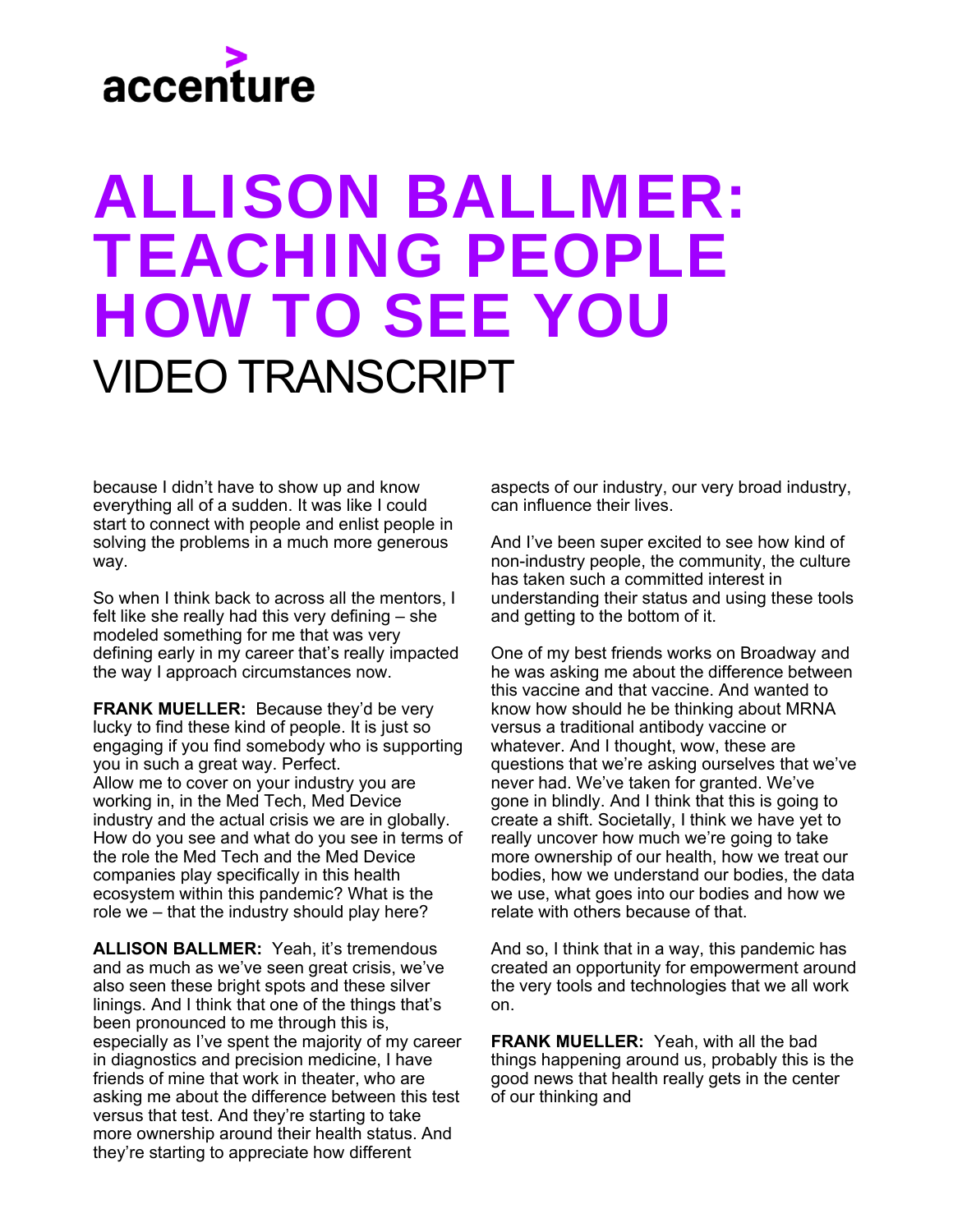### ALLISON BALLMER: TEACHING PEOPLE HOW TO SEE YOU VIDEO TRANSCRIPT

because I didn't have to show up and know everything all of a sudden. It was like I could start to connect with people and enlist people in solving the problems in a much more generous way.

So when I think back to across all the mentors, I felt like she really had this very defining – she modeled something for me that was very defining early in my career that's really impacted the way I approach circumstances now.

**FRANK MUELLER:** Because they'd be very lucky to find these kind of people. It is just so engaging if you find somebody who is supporting you in such a great way. Perfect. Allow me to cover on your industry you are working in, in the Med Tech, Med Device industry and the actual crisis we are in globally. How do you see and what do you see in terms of the role the Med Tech and the Med Device companies play specifically in this health ecosystem within this pandemic? What is the role we – that the industry should play here?

**ALLISON BALLMER:** Yeah, it's tremendous and as much as we've seen great crisis, we've also seen these bright spots and these silver linings. And I think that one of the things that's been pronounced to me through this is, especially as I've spent the majority of my career in diagnostics and precision medicine, I have friends of mine that work in theater, who are asking me about the difference between this test versus that test. And they're starting to take more ownership around their health status. And they're starting to appreciate how different

aspects of our industry, our very broad industry, can influence their lives.

And I've been super excited to see how kind of non-industry people, the community, the culture has taken such a committed interest in understanding their status and using these tools and getting to the bottom of it.

One of my best friends works on Broadway and he was asking me about the difference between this vaccine and that vaccine. And wanted to know how should he be thinking about MRNA versus a traditional antibody vaccine or whatever. And I thought, wow, these are questions that we're asking ourselves that we've never had. We've taken for granted. We've gone in blindly. And I think that this is going to create a shift. Societally, I think we have yet to really uncover how much we're going to take more ownership of our health, how we treat our bodies, how we understand our bodies, the data we use, what goes into our bodies and how we relate with others because of that.

And so, I think that in a way, this pandemic has created an opportunity for empowerment around the very tools and technologies that we all work on.

**FRANK MUELLER:** Yeah, with all the bad things happening around us, probably this is the good news that health really gets in the center of our thinking and